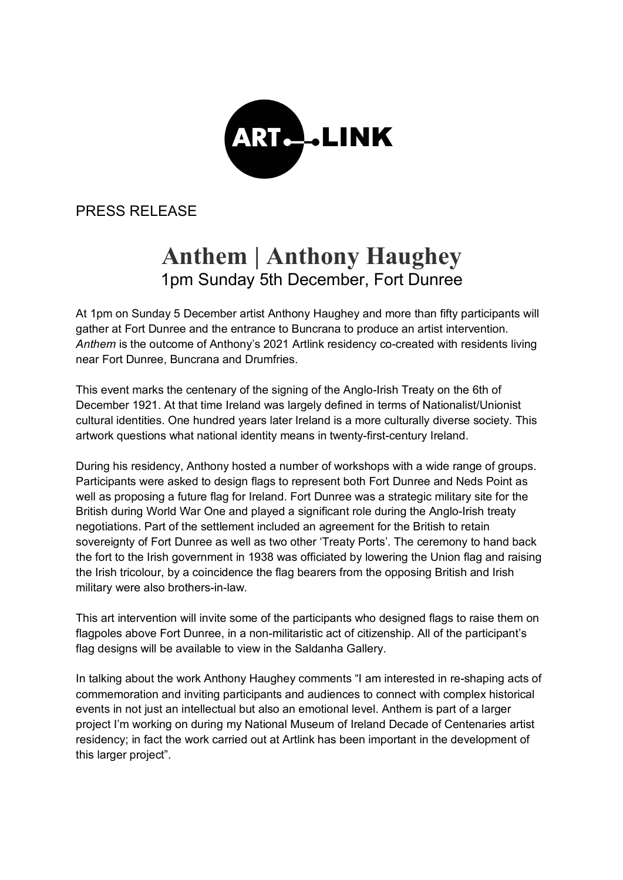

PRESS RELEASE

## **Anthem | Anthony Haughey**  1pm Sunday 5th December, Fort Dunree

At 1pm on Sunday 5 December artist Anthony Haughey and more than fifty participants will gather at Fort Dunree and the entrance to Buncrana to produce an artist intervention. *Anthem* is the outcome of Anthony's 2021 Artlink residency co-created with residents living near Fort Dunree, Buncrana and Drumfries.

This event marks the centenary of the signing of the Anglo-Irish Treaty on the 6th of December 1921. At that time Ireland was largely defined in terms of Nationalist/Unionist cultural identities. One hundred years later Ireland is a more culturally diverse society. This artwork questions what national identity means in twenty-first-century Ireland.

During his residency, Anthony hosted a number of workshops with a wide range of groups. Participants were asked to design flags to represent both Fort Dunree and Neds Point as well as proposing a future flag for Ireland. Fort Dunree was a strategic military site for the British during World War One and played a significant role during the Anglo-Irish treaty negotiations. Part of the settlement included an agreement for the British to retain sovereignty of Fort Dunree as well as two other 'Treaty Ports'. The ceremony to hand back the fort to the Irish government in 1938 was officiated by lowering the Union flag and raising the Irish tricolour, by a coincidence the flag bearers from the opposing British and Irish military were also brothers-in-law.

This art intervention will invite some of the participants who designed flags to raise them on flagpoles above Fort Dunree, in a non-militaristic act of citizenship. All of the participant's flag designs will be available to view in the Saldanha Gallery.

In talking about the work Anthony Haughey comments "I am interested in re-shaping acts of commemoration and inviting participants and audiences to connect with complex historical events in not just an intellectual but also an emotional level. Anthem is part of a larger project I'm working on during my National Museum of Ireland Decade of Centenaries artist residency; in fact the work carried out at Artlink has been important in the development of this larger project".